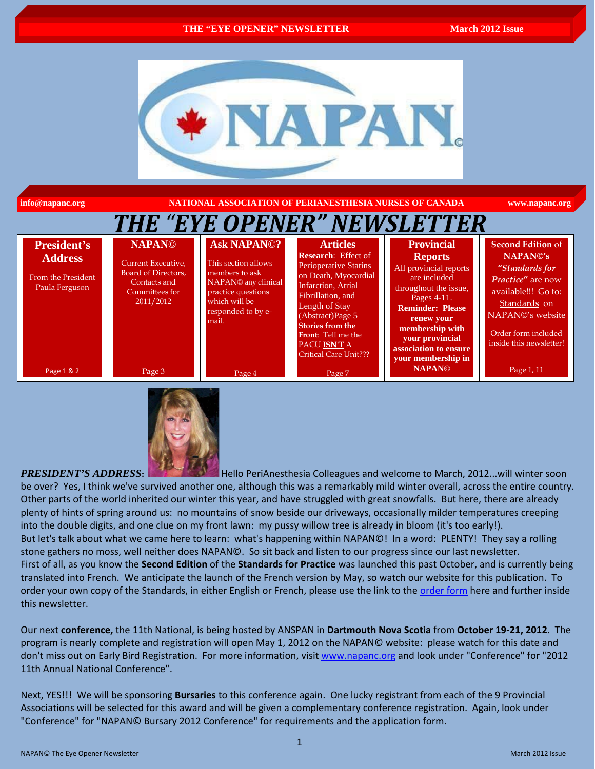

**info@napanc.org NATIONAL ASSOCIATION OF PERIANESTHESIA NURSES OF CANADA www.napanc.org**

| THE "EYE OPENER" NEWSLETTER                                                  |                                                                                                           |                                                                                                                                                          |                                                                                                                                                                                                                                                                                                  |                                                                                                                                                                                                                                                     |                                                                                                                                                                                                       |  |  |  |
|------------------------------------------------------------------------------|-----------------------------------------------------------------------------------------------------------|----------------------------------------------------------------------------------------------------------------------------------------------------------|--------------------------------------------------------------------------------------------------------------------------------------------------------------------------------------------------------------------------------------------------------------------------------------------------|-----------------------------------------------------------------------------------------------------------------------------------------------------------------------------------------------------------------------------------------------------|-------------------------------------------------------------------------------------------------------------------------------------------------------------------------------------------------------|--|--|--|
| <b>President's</b><br><b>Address</b><br>From the President<br>Paula Ferguson | <b>NAPANO</b><br>Current Executive,<br>Board of Directors,<br>Contacts and<br>Committees for<br>2011/2012 | <b>Ask NAPANO?</b><br>This section allows<br>members to ask<br>NAPAN© any clinical<br>practice questions<br>which will be<br>responded to by e-<br>mail. | <b>Articles</b><br><b>Research:</b> Effect of<br><b>Perioperative Statins</b><br>on Death, Myocardial<br>Infarction, Atrial<br>Fibrillation, and<br>Length of Stay<br>(Abstructor)Page 5<br><b>Stories from the</b><br><b>Front:</b> Tell me the<br>PACU ISN'T A<br><b>Critical Care Unit???</b> | <b>Provincial</b><br><b>Reports</b><br>All provincial reports<br>are included<br>throughout the issue,<br>Pages 4-11.<br><b>Reminder: Please</b><br>renew your<br>membership with<br>your provincial<br>association to ensure<br>your membership in | <b>Second Edition of</b><br>NAPAN <sup>®'</sup> s<br>"Standards for<br>Practice" are now<br>available!!! Go to:<br>Standards on<br>NAPAN©'s website<br>Order form included<br>inside this newsletter! |  |  |  |
| Page 1 & 2                                                                   | Page 3                                                                                                    | Page 4                                                                                                                                                   | Page 7                                                                                                                                                                                                                                                                                           | <b>NAPANO</b>                                                                                                                                                                                                                                       | Page 1, 11                                                                                                                                                                                            |  |  |  |



#### **PRESIDENT'S ADDRESS:** Hello PeriAnesthesia Colleagues and welcome to March, 2012...will winter soon

be over? Yes, I think we've survived another one, although this was a remarkably mild winter overall, across the entire country. Other parts of the world inherited our winter this year, and have struggled with great snowfalls. But here, there are already plenty of hints of spring around us: no mountains of snow beside our driveways, occasionally milder temperatures creeping into the double digits, and one clue on my front lawn: my pussy willow tree is already in bloom (it's too early!). But let's talk about what we came here to learn: what's happening within NAPAN©! In a word: PLENTY! They say a rolling stone gathers no moss, well neither does NAPAN©. So sit back and listen to our progress since our last newsletter.

First of all, as you know the **Second Edition** of the **Standards for Practice** was launched this past October, and is currently being translated into French. We anticipate the launch of the French version by May, so watch our website for this publication. To order your own copy of the Standards, in either English or French, please use the link to the [order form](http://www.napanc.org/assets/Forms/NAPANc_Standards_Order_Form_English_2011.pdf) here and further inside this newsletter.

Our next **conference,** the 11th National, is being hosted by ANSPAN in **Dartmouth Nova Scotia** from **October 19-21, 2012**. The program is nearly complete and registration will open May 1, 2012 on the NAPAN© website: please watch for this date and don't miss out on Early Bird Registration. For more information, visit www.napanc.org and look under "Conference" for "2012 11th Annual National Conference".

Next, YES!!! We will be sponsoring **Bursaries** to this conference again. One lucky registrant from each of the 9 Provincial Associations will be selected for this award and will be given a complementary conference registration. Again, look under "Conference" for "NAPAN© Bursary 2012 Conference" for requirements and the application form.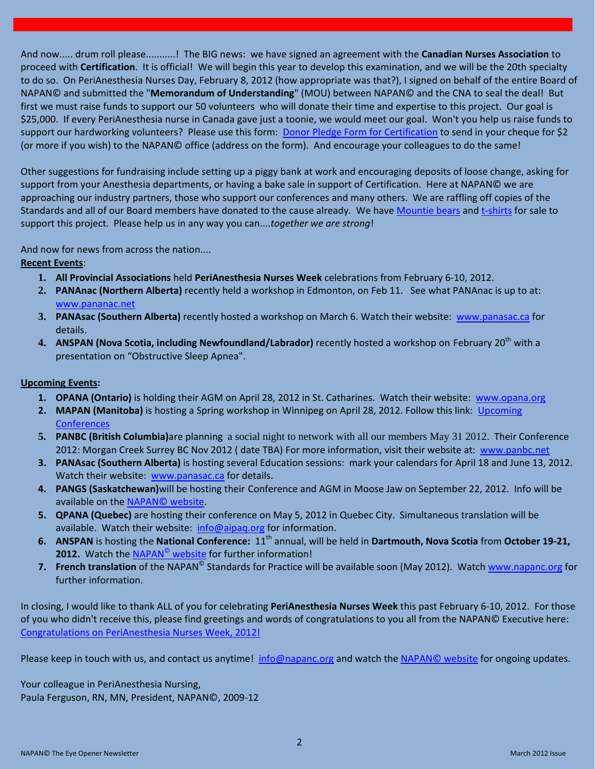And now..... drum roll please...........! The BIG news: we have signed an agreement with the **Canadian Nurses Association** to proceed with **Certification**. It is official! We will begin this year to develop this examination, and we will be the 20th specialty to do so. On PeriAnesthesia Nurses Day, February 8, 2012 (how appropriate was that?), I signed on behalf of the entire Board of NAPAN© and submitted the "**Memorandum of Understanding**" (MOU) between NAPAN© and the CNA to seal the deal! But first we must raise funds to support our 50 volunteers who will donate their time and expertise to this project. Our goal is \$25,000. If every PeriAnesthesia nurse in Canada gave just a toonie, we would meet our goal. Won't you help us raise funds to support our hardworking volunteers? Please use this form: [Donor Pledge Form for Certification](http://www.napanc.org/assets/Forms/NAPANc%20Certification%20Fundraising%20Donor%20Pledge%20Form.pdf) to send in your cheque for \$2 (or more if you wish) to the NAPAN© office (address on the form). And encourage your colleagues to do the same!

Other suggestions for fundraising include setting up a piggy bank at work and encouraging deposits of loose change, asking for support from your Anesthesia departments, or having a bake sale in support of Certification. Here at NAPAN© we are approaching our industry partners, those who support our conferences and many others. We are raffling off copies of the Standards and all of our Board members have donated to the cause already. We have [Mountie bears](http://www.napanc.org/assets/Publications/Mountie%20Bears%20Advertisement.pdf) an[d t-shirts](http://www.napanc.org/assets/Publications/T-Shirt%20Advertisement.pdf) for sale to support this project. Please help us in any way you can....*together we are strong*!

And now for news from across the nation....

#### **Recent Events** :

- **1. All Provincial Associations** held **PeriAnesthesia Nurses Week** celebrations from February 6-10, 2012.
- **2. PANAnac (Northern Alberta)** recently held a workshop in Edmonton, on Feb 11.See what PANAnac is up to at: [www.pananac.net](http://www.pananac.net/)
- **3. PANAsac (Southern Alberta)** recently hosted a workshop on March 6. Watch their website: [www.panasac.ca](http://www.panasac.ca/) for details.
- **4. ANSPAN (Nova Scotia, including Newfoundland/Labrador)** recently hosted a workshop on February 20<sup>th</sup> with a presentation on "Obstructive Sleep Apnea".

### **Upcoming Events :**

- 1. OPANA (Ontario) is holding their AGM on April 28, 2012 in St. Catharines. Watch their website: [www.opana.org](http://www.opana.org/)
- **2. MAPAN (Manitoba)** is hosting a Spring workshop in Winnipeg on April 28, 2012. Follow this link: [Upcoming](http://www.napanc.org/index.php/conference/upcoming-conferences-and-events.html)  **[Conferences](http://www.napanc.org/index.php/conference/upcoming-conferences-and-events.html)**
- **5. PANBC (British Columbia)**are planning a social night to network with all our members May 31 2012. Their Conference 2012: Morgan Creek Surrey BC Nov 2012 ( date TBA) For more information, visit their website at: [www.panbc.net](http://www.panbc.net/)
- **3. PANAsac (Southern Alberta)** is hosting several Education sessions: mark your calendars for April 18 and June 13, 2012. Watch their website: [www.panasac.ca](http://www.panasac.ca/) for details.
- **4. PANGS (Saskatchewan)**will be hosting their Conference and AGM in Moose Jaw on September 22, 2012. Info will be available on the [NAPAN©](http://www.napanc.org/.html) website.
- **5. QPANA (Quebec)** are hosting their conference on May 5, 2012 in Quebec City. Simultaneous translation will be available. Watch their website: info@aipaq.org for information.
- 6. ANSPAN is hosting the National Conference: 11<sup>th</sup> annual, will be held in Dartmouth, Nova Scotia from October 19-21, **2012.** Watch the NAPAN<sup>©</sup> website for further information!
- **7. French translation** of the NAPAN<sup>©</sup> Standards for Practice will be available soon (May 2012). Watch [www.napanc.org](http://www.napanc.org/) for further information.

In closing, I would like to thank ALL of you for celebrating **PeriAnesthesia Nurses Week** this past February 6-10, 2012. For those of you who didn't receive this, please find greetings and words of congratulations to you all from the NAPAN© Executive here: [Congratulations on PeriAnesthesia Nurses Week, 2012!](http://www.napanc.org/assets/Publications/NAPANc%20Executives%20Greetings%20for%20PeriAnesthesia%20Nurses%20Week%202012%20Final.pdf)

Please keep in touch with us, and contact us anytime! info@napanc.org and watch th[e NAPAN©](http://www.napanc.org/) website for ongoing updates.

Your colleague in PeriAnesthesia Nursing, Paula Ferguson, RN, MN, President, NAPAN©, 2009-12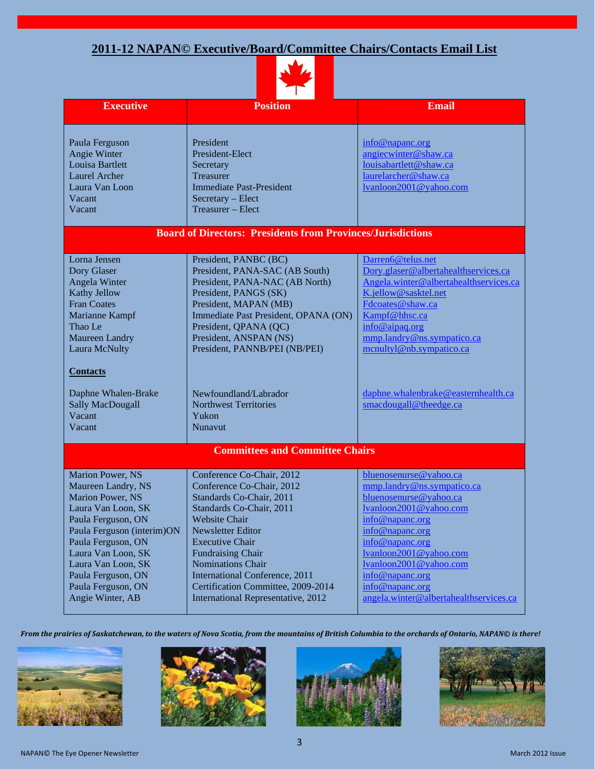# **2011-12 NAPAN© Executive/Board/Committee Chairs/Contacts Email List**



| <b>Executive</b>                                                                                                                                                                                                                                                       | <b>Position</b>                                                                                                                                                                                                                                                                                                                                                     | <b>Email</b>                                                                                                                                                                                                                                                                                                  |  |  |  |
|------------------------------------------------------------------------------------------------------------------------------------------------------------------------------------------------------------------------------------------------------------------------|---------------------------------------------------------------------------------------------------------------------------------------------------------------------------------------------------------------------------------------------------------------------------------------------------------------------------------------------------------------------|---------------------------------------------------------------------------------------------------------------------------------------------------------------------------------------------------------------------------------------------------------------------------------------------------------------|--|--|--|
|                                                                                                                                                                                                                                                                        |                                                                                                                                                                                                                                                                                                                                                                     |                                                                                                                                                                                                                                                                                                               |  |  |  |
| Paula Ferguson<br>Angie Winter<br>Louisa Bartlett<br><b>Laurel Archer</b><br>Laura Van Loon<br>Vacant<br>Vacant                                                                                                                                                        | President<br>President-Elect<br>Secretary<br>Treasurer<br><b>Immediate Past-President</b><br>Secretary - Elect<br>Treasurer – Elect                                                                                                                                                                                                                                 | info@napanc.org<br>angiecwinter@shaw.ca<br>louisabartlett@shaw.ca<br>laurelarcher@shaw.ca<br>lvanloon2001@yahoo.com                                                                                                                                                                                           |  |  |  |
| <b>Board of Directors: Presidents from Provinces/Jurisdictions</b>                                                                                                                                                                                                     |                                                                                                                                                                                                                                                                                                                                                                     |                                                                                                                                                                                                                                                                                                               |  |  |  |
| Lorna Jensen<br>Dory Glaser<br>Angela Winter<br><b>Kathy Jellow</b><br><b>Fran Coates</b><br>Marianne Kampf<br>Thao Le<br>Maureen Landry<br>Laura McNulty<br><b>Contacts</b><br>Daphne Whalen-Brake<br><b>Sally MacDougall</b>                                         | President, PANBC (BC)<br>President, PANA-SAC (AB South)<br>President, PANA-NAC (AB North)<br>President, PANGS (SK)<br>President, MAPAN (MB)<br>Immediate Past President, OPANA (ON)<br>President, QPANA (QC)<br>President, ANSPAN (NS)<br>President, PANNB/PEI (NB/PEI)<br>Newfoundland/Labrador<br><b>Northwest Territories</b>                                    | Darren6@telus.net<br>Dory.glaser@albertahealthservices.ca<br>Angela.winter@albertahealthservices.ca<br>K.jellow@sasktel.net<br>Fdcoates@shaw.ca<br>Kampf@hhsc.ca<br>info@aipaq.org<br>mmp.landry@ns.sympatico.ca<br>mcnultyl@nb.sympatico.ca<br>daphne.whalenbrake@easternhealth.ca<br>smacdougall@theedge.ca |  |  |  |
| Vacant<br>Vacant                                                                                                                                                                                                                                                       | Yukon<br><b>Nunavut</b>                                                                                                                                                                                                                                                                                                                                             |                                                                                                                                                                                                                                                                                                               |  |  |  |
| <b>Committees and Committee Chairs</b>                                                                                                                                                                                                                                 |                                                                                                                                                                                                                                                                                                                                                                     |                                                                                                                                                                                                                                                                                                               |  |  |  |
| Marion Power, NS<br>Maureen Landry, NS<br>Marion Power, NS<br>Laura Van Loon, SK<br>Paula Ferguson, ON<br>Paula Ferguson (interim)ON<br>Paula Ferguson, ON<br>Laura Van Loon, SK<br>Laura Van Loon, SK<br>Paula Ferguson, ON<br>Paula Ferguson, ON<br>Angie Winter, AB | Conference Co-Chair, 2012<br>Conference Co-Chair, 2012<br>Standards Co-Chair, 2011<br>Standards Co-Chair, 2011<br><b>Website Chair</b><br>Newsletter Editor<br><b>Executive Chair</b><br><b>Fundraising Chair</b><br>Nominations Chair<br><b>International Conference</b> , 2011<br>Certification Committee, 2009-2014<br><b>International Representative, 2012</b> | bluenosenurse@yahoo.ca<br>mmp.landry@ns.sympatico.ca<br>bluenosenurse@yahoo.ca<br>lvanloon2001@yahoo.com<br>info@napanc.org<br>info@napanc.org<br>info@napanc.org<br>lvanloon2001@yahoo.com<br>lvanloon2001@yahoo.com<br>info@napanc.org<br>info@napanc.org<br>angela.winter@albertahealthservices.ca         |  |  |  |

*From the prairies of Saskatchewan, to the waters of Nova Scotia, from the mountains of British Columbia to the orchards of Ontario, NAPAN© is there!*







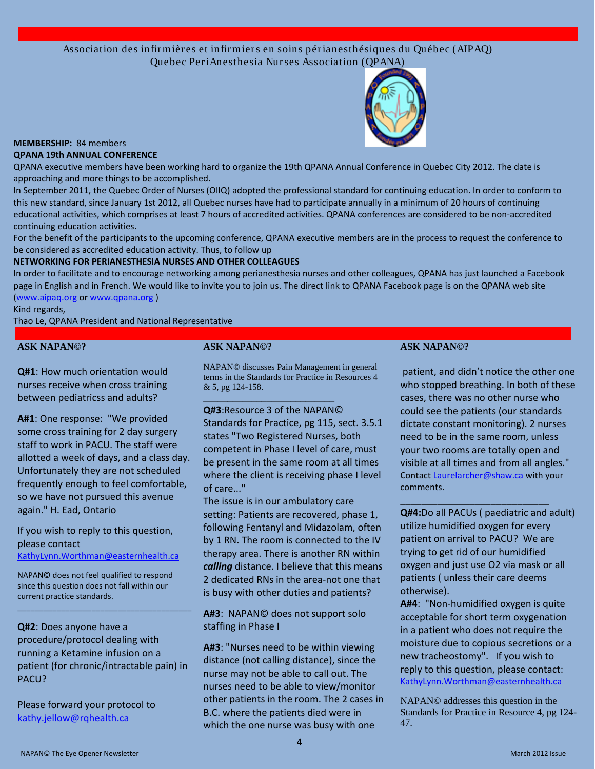Association des infir mièr es et infir mier s en soins pér ianesthésiques du Québec (AIPAQ) Quebec Per iAnesthesia Nur ses Association (QPANA)



#### **MEMBERSHIP:** 84 members **QPANA 19th ANNUAL CONFERENCE**

QPANA executive members have been working hard to organize the 19th QPANA Annual Conference in Quebec City 2012. The date is approaching and more things to be accomplished.

In September 2011, the Quebec Order of Nurses (OIIQ) adopted the professional standard for continuing education. In order to conform to this new standard, since January 1st 2012, all Quebec nurses have had to participate annually in a minimum of 20 hours of continuing educational activities, which comprises at least 7 hours of accredited activities. QPANA conferences are considered to be non-accredited continuing education activities.

For the benefit of the participants to the upcoming conference, QPANA executive members are in the process to request the conference to be considered as accredited education activity. Thus, to follow up

#### **NETWORKING FOR PERIANESTHESIA NURSES AND OTHER COLLEAGUES**

In order to facilitate and to encourage networking among perianesthesia nurses and other colleagues, QPANA has just launched a Facebook page in English and in French. We would like to invite you to join us. The direct link to QPANA Facebook page is on the QPANA web site (www.aipaq.org or www.qpana.org )

Kind regards,

Thao Le, QPANA President and National Representative

#### **ASK NAPAN©?**

**Q#1**: How much orientation would nurses receive when cross training between pediatricss and adults?

**A#1**: One response: "We provided some cross training for 2 day surgery staff to work in PACU. The staff were allotted a week of days, and a class day. Unfortunately they are not scheduled frequently enough to feel comfortable, so we have not pursued this avenue again." H. Ead, Ontario

If you wish to reply to this question, please contact [KathyLynn.Worthman@easternhealth.ca](mailto:KathyLynn.Worthman@easternhealth.ca)

NAPAN© does not feel qualified to respond since this question does not fall within our current practice standards.

**Q#2**: Does anyone have a procedure/protocol dealing with running a Ketamine infusion on a patient (for chronic/intractable pain) in PACU?

\_\_\_\_\_\_\_\_\_\_\_\_\_\_\_\_\_\_\_\_\_\_\_\_\_\_\_\_\_\_\_\_\_\_\_\_\_\_\_\_

Please forward your protocol to kathy.jellow@rqhealth.ca

#### **ASK NAPAN©?**

NAPAN© discusses Pain Management in general terms in the Standards for Practice in Resources 4 & 5, pg 124-158. \_\_\_\_\_\_\_\_\_\_\_\_\_\_\_\_\_\_\_\_\_\_\_\_\_\_\_

**Q#3**:Resource 3 of the NAPAN© Standards for Practice, pg 115, sect. 3.5.1 states "Two Registered Nurses, both competent in Phase I level of care, must be present in the same room at all times where the client is receiving phase I level of care..."

The issue is in our ambulatory care setting: Patients are recovered, phase 1, following Fentanyl and Midazolam, often by 1 RN. The room is connected to the IV therapy area. There is another RN within *calling* distance. I believe that this means 2 dedicated RNs in the area-not one that is busy with other duties and patients?

**A#3**: NAPAN© does not support solo staffing in Phase I

**A#3**: "Nurses need to be within viewing distance (not calling distance), since the nurse may not be able to call out. The nurses need to be able to view/monitor other patients in the room. The 2 cases in B.C. where the patients died were in which the one nurse was busy with one

#### **ASK NAPAN©?**

patient, and didn't notice the other one who stopped breathing. In both of these cases, there was no other nurse who could see the patients (our standards dictate constant monitoring). 2 nurses need to be in the same room, unless your two rooms are totally open and visible at all times and from all angles." Contact Laurelarcher@shaw.ca with your comments.

**Q#4:**Do all PACUs ( paediatric and adult) utilize humidified oxygen for every patient on arrival to PACU? We are trying to get rid of our humidified oxygen and just use O2 via mask or all patients ( unless their care deems otherwise).

\_\_\_\_\_\_\_\_\_\_\_\_\_\_\_\_\_\_\_\_\_\_\_\_\_\_\_\_

**A#4**: "Non-humidified oxygen is quite acceptable for short term oxygenation in a patient who does not require the moisture due to copious secretions or a new tracheostomy". If you wish to reply to this question, please contact: KathyLynn.Worthman@easternhealth.ca

NAPAN© addresses this question in the Standards for Practice in Resource 4, pg 124- 47.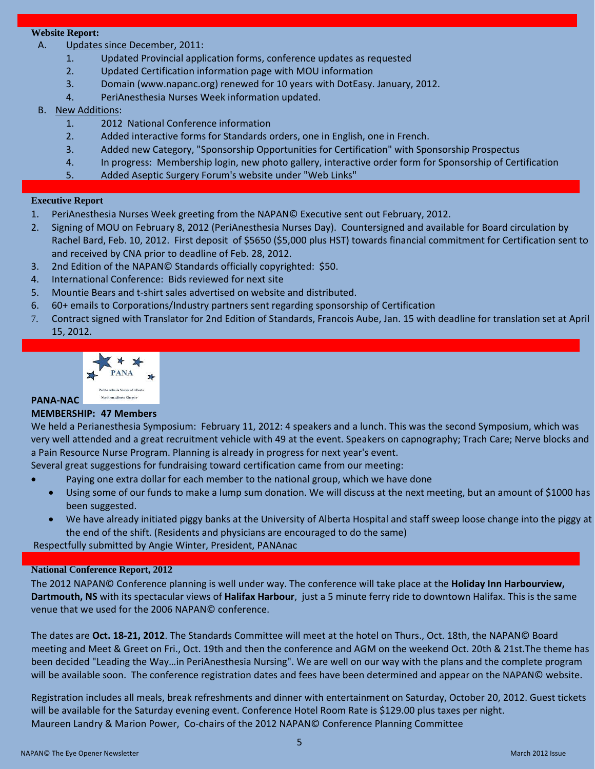### **Website Report:**

- A. Updates since December, 2011:
	- 1. Updated Provincial application forms, conference updates as requested
	- 2. Updated Certification information page with MOU information
	- 3. Domain (www.napanc.org) renewed for 10 years with DotEasy. January, 2012.
	- 4. PeriAnesthesia Nurses Week information updated.

### B. New Additions:

- 1. 2012 National Conference information
- 2. Added interactive forms for Standards orders, one in English, one in French.
- 3. Added new Category, "Sponsorship Opportunities for Certification" with Sponsorship Prospectus
- 4. In progress: Membership login, new photo gallery, interactive order form for Sponsorship of Certification
- 5. Added Aseptic Surgery Forum's website under "Web Links"

#### **Executive Report**

- 1. PeriAnesthesia Nurses Week greeting from the NAPAN© Executive sent out February, 2012.
- 2. Signing of MOU on February 8, 2012 (PeriAnesthesia Nurses Day). Countersigned and available for Board circulation by Rachel Bard, Feb. 10, 2012. First deposit of \$5650 (\$5,000 plus HST) towards financial commitment for Certification sent to and received by CNA prior to deadline of Feb. 28, 2012.
- 3. 2nd Edition of the NAPAN© Standards officially copyrighted: \$50.
- 4. International Conference: Bids reviewed for next site
- 5. Mountie Bears and t-shirt sales advertised on website and distributed.
- 6. 60+ emails to Corporations/Industry partners sent regarding sponsorship of Certification
- 7. Contract signed with Translator for 2nd Edition of Standards, Francois Aube, Jan. 15 with deadline for translation set at April 15, 2012.



### **PANA-NAC**

#### **MEMBERSHIP: 47 Members**

We held a Perianesthesia Symposium: February 11, 2012: 4 speakers and a lunch. This was the second Symposium, which was very well attended and a great recruitment vehicle with 49 at the event. Speakers on capnography; Trach Care; Nerve blocks and a Pain Resource Nurse Program. Planning is already in progress for next year's event.

Several great suggestions for fundraising toward certification came from our meeting:

- Paying one extra dollar for each member to the national group, which we have done
- Using some of our funds to make a lump sum donation. We will discuss at the next meeting, but an amount of \$1000 has been suggested.
- We have already initiated piggy banks at the University of Alberta Hospital and staff sweep loose change into the piggy at the end of the shift. (Residents and physicians are encouraged to do the same)

Respectfully submitted by Angie Winter, President, PANAnac

#### **National Conference Report, 2012**

The 2012 NAPAN© Conference planning is well under way. The conference will take place at the **Holiday Inn Harbourview, Dartmouth, NS** with its spectacular views of **Halifax Harbour**, just a 5 minute ferry ride to downtown Halifax. This is the same venue that we used for the 2006 NAPAN© conference.

The dates are **Oct. 18-21, 2012**. The Standards Committee will meet at the hotel on Thurs., Oct. 18th, the NAPAN© Board meeting and Meet & Greet on Fri., Oct. 19th and then the conference and AGM on the weekend Oct. 20th & 21st.The theme has been decided "Leading the Way…in PeriAnesthesia Nursing". We are well on our way with the plans and the complete program will be available soon. The conference registration dates and fees have been determined and appear on the NAPAN© website.

Registration includes all meals, break refreshments and dinner with entertainment on Saturday, October 20, 2012. Guest tickets will be available for the Saturday evening event. Conference Hotel Room Rate is \$129.00 plus taxes per night. Maureen Landry & Marion Power, Co-chairs of the 2012 NAPAN© Conference Planning Committee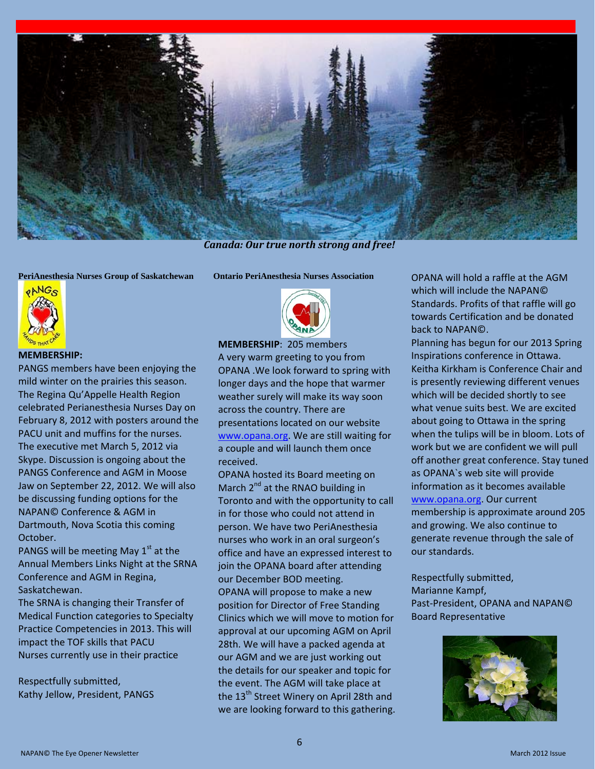

*Canada: Our true north strong and free!*

**PeriAnesthesia Nurses Group of Saskatchewan**



#### **MEMBERSHIP:**

PANGS members have been enjoying the mild winter on the prairies this season. The Regina Qu'Appelle Health Region celebrated Perianesthesia Nurses Day on February 8, 2012 with posters around the PACU unit and muffins for the nurses. The executive met March 5, 2012 via Skype. Discussion is ongoing about the PANGS Conference and AGM in Moose Jaw on September 22, 2012. We will also be discussing funding options for the NAPAN© Conference & AGM in Dartmouth, Nova Scotia this coming October.

PANGS will be meeting May  $1<sup>st</sup>$  at the Annual Members Links Night at the SRNA Conference and AGM in Regina, Saskatchewan.

The SRNA is changing their Transfer of Medical Function categories to Specialty Practice Competencies in 2013. This will impact the TOF skills that PACU Nurses currently use in their practice

Respectfully submitted, Kathy Jellow, President, PANGS **Ontario PeriAnesthesia Nurses Association**



**MEMBERSHIP**: 205 members A very warm greeting to you from OPANA .We look forward to spring with longer days and the hope that warmer weather surely will make its way soon across the country. There are presentations located on our website [www.opana.org.](http://www.opana.org/) We are still waiting for a couple and will launch them once received.

OPANA hosted its Board meeting on March  $2^{nd}$  at the RNAO building in Toronto and with the opportunity to call in for those who could not attend in person. We have two PeriAnesthesia nurses who work in an oral surgeon's office and have an expressed interest to join the OPANA board after attending our December BOD meeting. OPANA will propose to make a new position for Director of Free Standing Clinics which we will move to motion for approval at our upcoming AGM on April 28th. We will have a packed agenda at our AGM and we are just working out the details for our speaker and topic for the event. The AGM will take place at the 13<sup>th</sup> Street Winery on April 28th and we are looking forward to this gathering.

OPANA will hold a raffle at the AGM which will include the NAPAN© Standards. Profits of that raffle will go towards Certification and be donated back to NAPAN©.

Planning has begun for our 2013 Spring Inspirations conference in Ottawa. Keitha Kirkham is Conference Chair and is presently reviewing different venues which will be decided shortly to see what venue suits best. We are excited about going to Ottawa in the spring when the tulips will be in bloom. Lots of work but we are confident we will pull off another great conference. Stay tuned as OPANA`s web site will provide information as it becomes available [www.opana.org.](http://www.opana.org/) Our current membership is approximate around 205 and growing. We also continue to generate revenue through the sale of our standards.

Respectfully submitted, Marianne Kampf, Past-President, OPANA and NAPAN© Board Representative

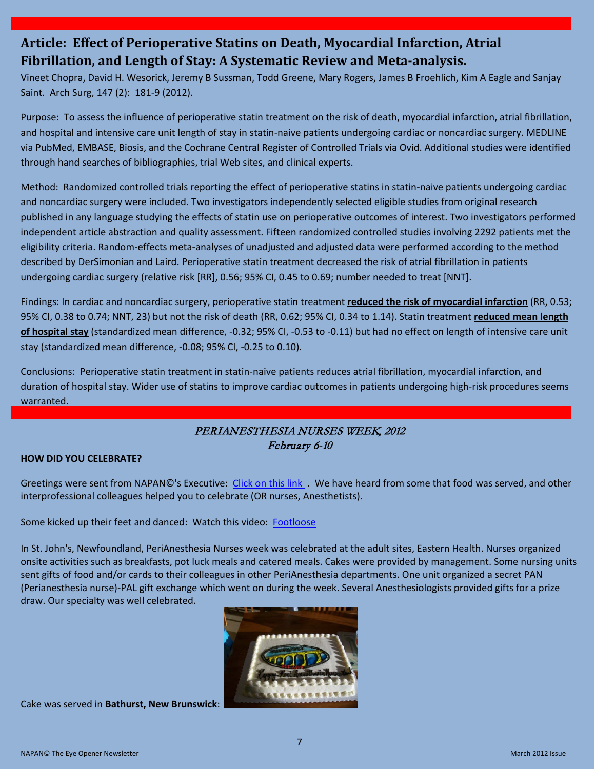# **Article: Effect of Perioperative Statins on Death, Myocardial Infarction, Atrial Fibrillation, and Length of Stay: A Systematic Review and Meta-analysis.**

Vineet Chopra, David H. Wesorick, Jeremy B Sussman, Todd Greene, Mary Rogers, James B Froehlich, Kim A Eagle and Sanjay Saint. Arch Surg, 147 (2): 181-9 (2012).

Purpose: To assess the influence of perioperative statin treatment on the risk of death, myocardial infarction, atrial fibrillation, and hospital and intensive care unit length of stay in statin-naive patients undergoing cardiac or noncardiac surgery. MEDLINE via PubMed, EMBASE, Biosis, and the Cochrane Central Register of Controlled Trials via Ovid. Additional studies were identified through hand searches of bibliographies, trial Web sites, and clinical experts.

Method: Randomized controlled trials reporting the effect of perioperative statins in statin-naive patients undergoing cardiac and noncardiac surgery were included. Two investigators independently selected eligible studies from original research published in any language studying the effects of statin use on perioperative outcomes of interest. Two investigators performed independent article abstraction and quality assessment. Fifteen randomized controlled studies involving 2292 patients met the eligibility criteria. Random-effects meta-analyses of unadjusted and adjusted data were performed according to the method described by DerSimonian and Laird. Perioperative statin treatment decreased the risk of atrial fibrillation in patients undergoing cardiac surgery (relative risk [RR], 0.56; 95% CI, 0.45 to 0.69; number needed to treat [NNT].

Findings: In cardiac and noncardiac surgery, perioperative statin treatment **reduced the risk of myocardial infarction** (RR, 0.53; 95% CI, 0.38 to 0.74; NNT, 23) but not the risk of death (RR, 0.62; 95% CI, 0.34 to 1.14). Statin treatment **reduced mean length of hospital stay** (standardized mean difference, -0.32; 95% CI, -0.53 to -0.11) but had no effect on length of intensive care unit stay (standardized mean difference, -0.08; 95% CI, -0.25 to 0.10).

Conclusions: Perioperative statin treatment in statin-naive patients reduces atrial fibrillation, myocardial infarction, and duration of hospital stay. Wider use of statins to improve cardiac outcomes in patients undergoing high-risk procedures seems warranted.

## PERIANESTHESIA NURSES WEEK, 2012 February 6-10

#### **HOW DID YOU CELEBRATE?**

Greetings were sent from NAPAN©'s Executive: [Click on this link](http://napanc.org/assets/Publications/NAPANc%20Executives%20Greetings%20for%20PeriAnesthesia%20Nurses%20Week%202012%20Final.pdf) . We have heard from some that food was served, and other interprofessional colleagues helped you to celebrate (OR nurses, Anesthetists).

Some kicked up their feet and danced: Watch this video: [Footloose](http://www.youtube.com/watch?v=_HLFmZ79eoc&feature=related)

In St. John's, Newfoundland, PeriAnesthesia Nurses week was celebrated at the adult sites, Eastern Health. Nurses organized onsite activities such as breakfasts, pot luck meals and catered meals. Cakes were provided by management. Some nursing units sent gifts of food and/or cards to their colleagues in other PeriAnesthesia departments. One unit organized a secret PAN (Perianesthesia nurse)-PAL gift exchange which went on during the week. Several Anesthesiologists provided gifts for a prize draw. Our specialty was well celebrated.



Cake was served in **Bathurst, New Brunswick**: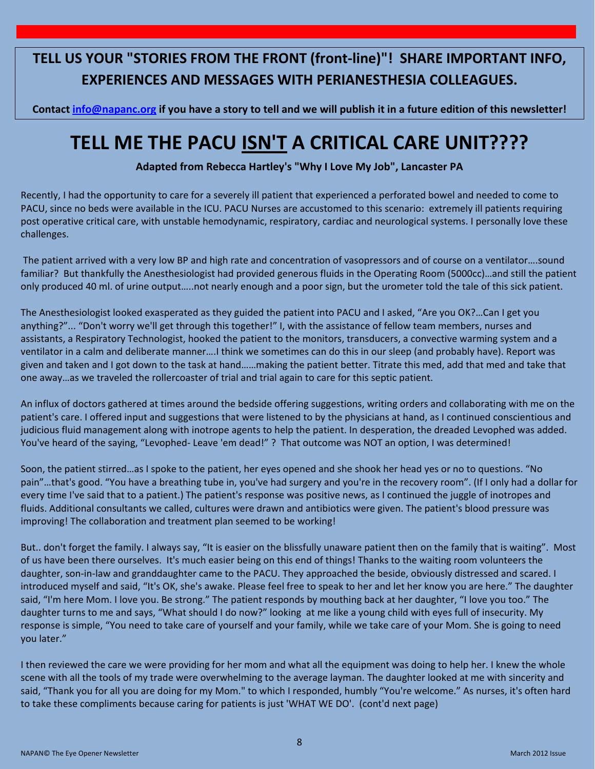# **TELL US YOUR "STORIES FROM THE FRONT (front-line)"! SHARE IMPORTANT INFO, EXPERIENCES AND MESSAGES WITH PERIANESTHESIA COLLEAGUES.**

**Contact info@napanc.org if you have a story to tell and we will publish it in a future edition of this newsletter!**

# **TELL ME THE PACU ISN'T A CRITICAL CARE UNIT????**

**Adapted from Rebecca Hartley's "Why I Love My Job", Lancaster PA**

Recently, I had the opportunity to care for a severely ill patient that experienced a perforated bowel and needed to come to PACU, since no beds were available in the ICU. PACU Nurses are accustomed to this scenario: extremely ill patients requiring post operative critical care, with unstable hemodynamic, respiratory, cardiac and neurological systems. I personally love these challenges.

The patient arrived with a very low BP and high rate and concentration of vasopressors and of course on a ventilator….sound familiar? But thankfully the Anesthesiologist had provided generous fluids in the Operating Room (5000cc)…and still the patient only produced 40 ml. of urine output…..not nearly enough and a poor sign, but the urometer told the tale of this sick patient.

The Anesthesiologist looked exasperated as they guided the patient into PACU and I asked, "Are you OK?…Can I get you anything?"... "Don't worry we'll get through this together!" I, with the assistance of fellow team members, nurses and assistants, a Respiratory Technologist, hooked the patient to the monitors, transducers, a convective warming system and a ventilator in a calm and deliberate manner….I think we sometimes can do this in our sleep (and probably have). Report was given and taken and I got down to the task at hand……making the patient better. Titrate this med, add that med and take that one away…as we traveled the rollercoaster of trial and trial again to care for this septic patient.

An influx of doctors gathered at times around the bedside offering suggestions, writing orders and collaborating with me on the patient's care. I offered input and suggestions that were listened to by the physicians at hand, as I continued conscientious and judicious fluid management along with inotrope agents to help the patient. In desperation, the dreaded Levophed was added. You've heard of the saying, "Levophed- Leave 'em dead!" ? That outcome was NOT an option, I was determined!

Soon, the patient stirred…as I spoke to the patient, her eyes opened and she shook her head yes or no to questions. "No pain"…that's good. "You have a breathing tube in, you've had surgery and you're in the recovery room". (If I only had a dollar for every time I've said that to a patient.) The patient's response was positive news, as I continued the juggle of inotropes and fluids. Additional consultants we called, cultures were drawn and antibiotics were given. The patient's blood pressure was improving! The collaboration and treatment plan seemed to be working!

But.. don't forget the family. I always say, "It is easier on the blissfully unaware patient then on the family that is waiting". Most of us have been there ourselves. It's much easier being on this end of things! Thanks to the waiting room volunteers the daughter, son-in-law and granddaughter came to the PACU. They approached the beside, obviously distressed and scared. I introduced myself and said, "It's OK, she's awake. Please feel free to speak to her and let her know you are here." The daughter said, "I'm here Mom. I love you. Be strong." The patient responds by mouthing back at her daughter, "I love you too." The daughter turns to me and says, "What should I do now?" looking at me like a young child with eyes full of insecurity. My response is simple, "You need to take care of yourself and your family, while we take care of your Mom. She is going to need you later."

I then reviewed the care we were providing for her mom and what all the equipment was doing to help her. I knew the whole scene with all the tools of my trade were overwhelming to the average layman. The daughter looked at me with sincerity and said, "Thank you for all you are doing for my Mom." to which I responded, humbly "You're welcome." As nurses, it's often hard to take these compliments because caring for patients is just 'WHAT WE DO'. (cont'd next page)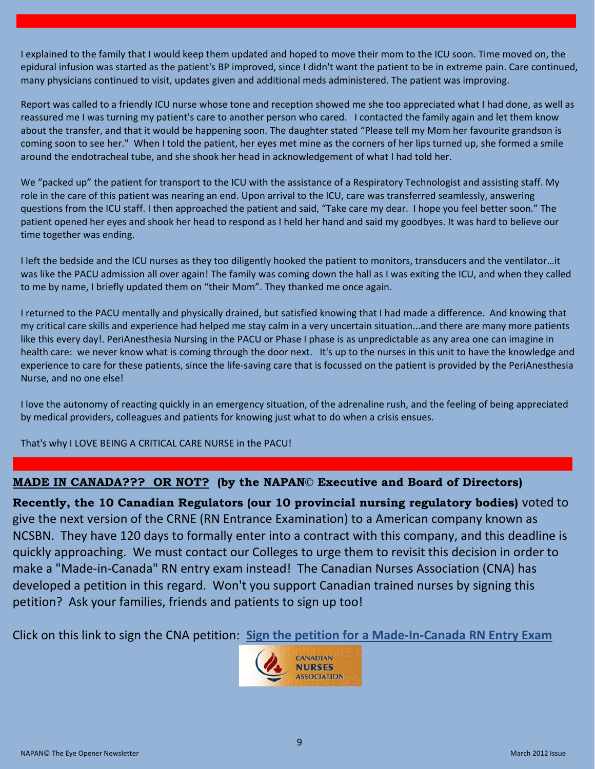I explained to the family that I would keep them updated and hoped to move their mom to the ICU soon. Time moved on, the epidural infusion was started as the patient's BP improved, since I didn't want the patient to be in extreme pain. Care continued, many physicians continued to visit, updates given and additional meds administered. The patient was improving.

Report was called to a friendly ICU nurse whose tone and reception showed me she too appreciated what I had done, as well as reassured me I was turning my patient's care to another person who cared. I contacted the family again and let them know about the transfer, and that it would be happening soon. The daughter stated "Please tell my Mom her favourite grandson is coming soon to see her." When I told the patient, her eyes met mine as the corners of her lips turned up, she formed a smile around the endotracheal tube, and she shook her head in acknowledgement of what I had told her.

We "packed up" the patient for transport to the ICU with the assistance of a Respiratory Technologist and assisting staff. My role in the care of this patient was nearing an end. Upon arrival to the ICU, care was transferred seamlessly, answering questions from the ICU staff. I then approached the patient and said, "Take care my dear. I hope you feel better soon." The patient opened her eyes and shook her head to respond as I held her hand and said my goodbyes. It was hard to believe our time together was ending.

I left the bedside and the ICU nurses as they too diligently hooked the patient to monitors, transducers and the ventilator…it was like the PACU admission all over again! The family was coming down the hall as I was exiting the ICU, and when they called to me by name, I briefly updated them on "their Mom". They thanked me once again.

I returned to the PACU mentally and physically drained, but satisfied knowing that I had made a difference. And knowing that my critical care skills and experience had helped me stay calm in a very uncertain situation...and there are many more patients like this every day!. PeriAnesthesia Nursing in the PACU or Phase I phase is as unpredictable as any area one can imagine in health care: we never know what is coming through the door next. It's up to the nurses in this unit to have the knowledge and experience to care for these patients, since the life-saving care that is focussed on the patient is provided by the PeriAnesthesia Nurse, and no one else!

I love the autonomy of reacting quickly in an emergency situation, of the adrenaline rush, and the feeling of being appreciated by medical providers, colleagues and patients for knowing just what to do when a crisis ensues.

That's why I LOVE BEING A CRITICAL CARE NURSE in the PACU!

### **MADE IN CANADA??? OR NOT? (by the NAPAN© Executive and Board of Directors)**

**Recently, the 10 Canadian Regulators (our 10 provincial nursing regulatory bodies)** voted to give the next version of the CRNE (RN Entrance Examination) to a American company known as NCSBN. They have 120 days to formally enter into a contract with this company, and this deadline is quickly approaching. We must contact our Colleges to urge them to revisit this decision in order to make a "Made-in-Canada" RN entry exam instead! The Canadian Nurses Association (CNA) has developed a petition in this regard. Won't you support Canadian trained nurses by signing this petition? Ask your families, friends and patients to sign up too!

Click on this link to sign the CNA petition: **[Sign the petition for a Made-In-Canada RN Entry Exam](http://69.20.237.218/CRNE-petition/default_e.aspx)**

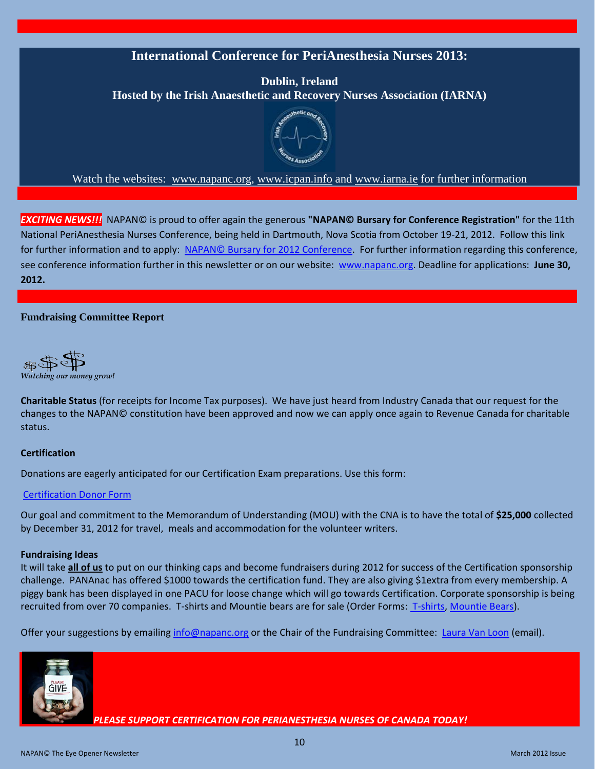# **International Conference for PeriAnesthesia Nurses 2013:**

**Dublin, Ireland Hosted by the Irish Anaesthetic and Recovery Nurses Association (IARNA)**



Watch the websites: www.napanc.org, www.icpan.info and www.iarna.ie for further information

*EXCITING NEWS!!!* NAPAN© is proud to offer again the generous **"NAPAN© Bursary for Conference Registration"** for the 11th National PeriAnesthesia Nurses Conference, being held in Dartmouth, Nova Scotia from October 19-21, 2012. Follow this link for further information and to apply: NAPAN© Bursary for 2012 [Conference.](http://napanc.org/assets/Publications/NAPANc%20Bursary%20for%20Conference%202012%20Announcement%20and%20Application.pdf) For further information regarding this conference, see conference information further in this newsletter or on our website: www.napanc.org. Deadline for applications: **June 30, 2012.** 

#### **Fundraising Committee Report**



**Charitable Status** (for receipts for Income Tax purposes). We have just heard from Industry Canada that our request for the changes to the NAPAN© constitution have been approved and now we can apply once again to Revenue Canada for charitable status.

#### **Certification**

Donations are eagerly anticipated for our Certification Exam preparations. Use this form:

#### [Certification Donor Form](http://napanc.org/assets/Forms/NAPANc%20Certification%20Fundraising%20Donor%20Pledge%20Form.pdf)

Our goal and commitment to the Memorandum of Understanding (MOU) with the CNA is to have the total of **\$25,000** collected by December 31, 2012 for travel, meals and accommodation for the volunteer writers.

#### **Fundraising Ideas**

It will take **all of us** to put on our thinking caps and become fundraisers during 2012 for success of the Certification sponsorship challenge. PANAnac has offered \$1000 towards the certification fund. They are also giving \$1extra from every membership. A piggy bank has been displayed in one PACU for loose change which will go towards Certification. Corporate sponsorship is being recruited from over 70 companies. T-shirts and Mountie bears are for sale (Order Forms: [T-shirts,](http://www.napanc.org/assets/Publications/T-Shirt%20Advertisement.pdf) [Mountie Bears\)](http://www.napanc.org/assets/Publications/Mountie%20Bears%20Advertisement.pdf).

Offer your suggestions by emailing *info@napanc.org* or the Chair of the Fundraising Committee: [Laura Van Loon](mailto:lvanloon2001@yahoo.co?subject=Certification%20Fundraising) (email).



*PLEASE SUPPORT CERTIFICATION FOR PERIANESTHESIA NURSES OF CANADA TODAY!*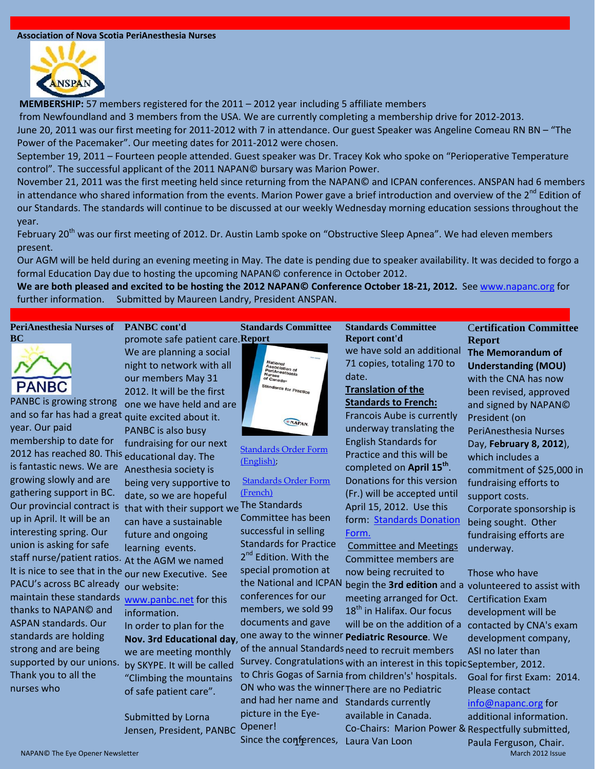#### **Association of Nova Scotia PeriAnesthesia Nurses**



**MEMBERSHIP:** 57 members registered for the 2011 – 2012 year including 5 affiliate members

from Newfoundland and 3 members from the USA. We are currently completing a membership drive for 2012-2013.

June 20, 2011 was our first meeting for 2011-2012 with 7 in attendance. Our guest Speaker was Angeline Comeau RN BN – "The Power of the Pacemaker". Our meeting dates for 2011-2012 were chosen.

September 19, 2011 – Fourteen people attended. Guest speaker was Dr. Tracey Kok who spoke on "Perioperative Temperature control". The successful applicant of the 2011 NAPAN© bursary was Marion Power.

November 21, 2011 was the first meeting held since returning from the NAPAN© and ICPAN conferences. ANSPAN had 6 members in attendance who shared information from the events. Marion Power gave a brief introduction and overview of the 2<sup>nd</sup> Edition of our Standards. The standards will continue to be discussed at our weekly Wednesday morning education sessions throughout the year.

February 20<sup>th</sup> was our first meeting of 2012. Dr. Austin Lamb spoke on "Obstructive Sleep Apnea". We had eleven members present.

Our AGM will be held during an evening meeting in May. The date is pending due to speaker availability. It was decided to forgo a formal Education Day due to hosting the upcoming NAPAN© conference in October 2012.

**We are both pleased and excited to be hosting the 2012 NAPAN© Conference October 18-21, 2012.** See www.napanc.org for further information. Submitted by Maureen Landry, President ANSPAN.

#### **PeriAnesthesia Nurses of PANBC cont'd BC**



PANBC is growing strong one we have held and are and so far has had a great quite excited about it. year. Our paid membership to date for 2012 has reached 80. This educational day. The is fantastic news. We are Anesthesia society is growing slowly and are gathering support in BC. Our provincial contract is that with their support we The Standards up in April. It will be an interesting spring. Our union is asking for safe staff nurse/patient ratios. At the AGM we named It is nice to see that in the <sub>OUI</sub> new Executive. See PACU's across BC already our website: maintain these standards <sub>www.panbc.net</sub> for this thanks to NAPAN© and ASPAN standards. Our standards are holding strong and are being supported by our unions. Thank you to all the nurses who

promote safe patient care. **Report** We are planning a social night to network with all our members May 31 **Standards Committee** 

2012. It will be the first

being very supportive to date, so we are hopeful

can have a sustainable future and ongoing learning events.

In order to plan for the

we are meeting monthly by SKYPE. It will be called "Climbing the mountains of safe patient care".

Submitted by Lorna Jensen, President, PANBC

information.

PANBC is also busy fundraising for our next



[Standards Order Form](http://napanc.org/assets/Forms/NAPANc%20Standards%20Order%20Form%20in%20English%202011.pdf)  [\(English\);](http://napanc.org/assets/Forms/NAPANc%20Standards%20Order%20Form%20in%20English%202011.pdf)

### [Standards Order Form](http://www.napanc.org/assets/Forms/NAPANc%20Standards%20Order%20Form%20in%20French%20Formulaire%20de%20commande%20-%20Normes%20de%20pratique%202011_distributed.pdf)  [\(French\)](http://www.napanc.org/assets/Forms/NAPANc%20Standards%20Order%20Form%20in%20French%20Formulaire%20de%20commande%20-%20Normes%20de%20pratique%202011_distributed.pdf)

Committee has been successful in selling Standards for Practice 2<sup>nd</sup> Edition. With the special promotion at the National and ICPAN conferences for our members, we sold 99 documents and gave

#### **Standards Committee Report cont'd**

we have sold an additional 71 copies, totaling 170 to date.

### **Translation of the Standards to French:**

Francois Aube is currently underway translating the English Standards for Practice and this will be completed on **April 15th**. Donations for this version (Fr.) will be accepted until April 15, 2012. Use this form: Standards Donation [Form.](http://www.napanc.org/assets/Forms/NAPANc%20Donor%20Pledge%20Form%20Standards%20.pdf) 

Committee and Meetings Committee members are now being recruited to

meeting arranged for Oct. 18<sup>th</sup> in Halifax. Our focus

**Nov. 3rd Educational day**, one away to the winner **Pediatric Resource**. We of the annual Standards need to recruit members Survey. Congratulations with an interest in this topic September, 2012. to Chris Gogas of Sarnia from children's' hospitals. ON who was the winner There are no Pediatric and had her name and Standards currently picture in the Eye-Opener! available in Canada. Co-Chairs: Marion Power & Respectfully submitted,

Since the conferences,Laura Van Loon

### **Understanding (MOU)** with the CNA has now been revised, approved and signed by NAPAN© President (on PeriAnesthesia Nurses Day, **February 8, 2012**), which includes a commitment of \$25,000 in fundraising efforts to support costs. Corporate sponsorship is

C**ertification Committee** 

**The Memorandum of** 

**Report**

being sought. Other fundraising efforts are underway.

begin the **3rd edition** and a volunteered to assist with will be on the addition of a contacted by CNA's exam Those who have Certification Exam development will be development company, ASI no later than

> Goal for first Exam: 2014. Please contact info@napanc.org for additional information. Paula Ferguson, Chair.

NAPAN© The Eye Opener Newsletter March 2012 Issue National Accord March 2012 Issue National Accord March 2012 Issue National Accord March 2012 Issue National Accord March 2012 Issue National Accord March 2012 Issue Nationa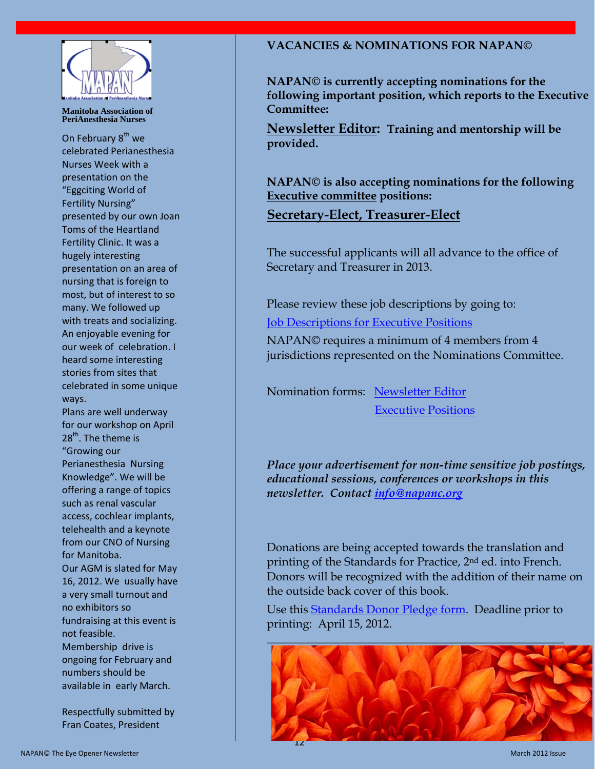

#### **Manitoba Association of PeriAnesthesia Nurses**

On February 8<sup>th</sup> we celebrated Perianesthesia Nurses Week with a presentation on the "Eggciting World of Fertility Nursing" presented by our own Joan Toms of the Heartland Fertility Clinic. It was a hugely interesting presentation on an area of nursing that is foreign to most, but of interest to so many. We followed up with treats and socializing. An enjoyable evening for our week of celebration. I heard some interesting stories from sites that celebrated in some unique ways.

Plans are well underway for our workshop on April 28<sup>th</sup>. The theme is "Growing our Perianesthesia Nursing Knowledge". We will be offering a range of topics such as renal vascular access, cochlear implants, telehealth and a keynote from our CNO of Nursing for Manitoba. Our AGM is slated for May 16, 2012. We usually have a very small turnout and no exhibitors so fundraising at this event is not feasible. Membership drive is ongoing for February and numbers should be available in early March.

Respectfully submitted by Fran Coates, President

### **VACANCIES & NOMINATIONS FOR NAPAN©**

**NAPAN© is currently accepting nominations for the following important position, which reports to the Executive Committee:**

**Newsletter Editor: Training and mentorship will be provided.**

**NAPAN© is also accepting nominations for the following Executive committee positions:**

## **Secretary-Elect, Treasurer-Elect**

The successful applicants will all advance to the office of Secretary and Treasurer in 2013.

Please review these job descriptions by going to:

[Job Descriptions for Executive Positions](http://napanc.org/index.php/membership/nomination-form.html)

NAPAN© requires a minimum of 4 members from 4 jurisdictions represented on the Nominations Committee.

Nomination forms: [Newsletter Editor](http://napanc.org/assets/Forms/NAPANc%20nominating%20form%20Newsletter%20Editor%202011.pdf)

[Executive Positions](http://napanc.org/assets/Forms/NAPANc%20Nom%20form%20for%20Executive%20Positions%20Dec%202011.pdf)

*Place your advertisement for non-time sensitive job postings, educational sessions, conferences or workshops in this newsletter. Contact [info@napanc.org](mailto:info@napanc.org)*

Donations are being accepted towards the translation and printing of the Standards for Practice, 2nd ed. into French. Donors will be recognized with the addition of their name on the outside back cover of this book.

Use this [Standards Donor Pledge form.](http://napanc.org/assets/Forms/NAPANc%20Donor%20Pledge%20Form%20Standards%20%283%29.pdf) Deadline prior to printing: April 15, 2012.

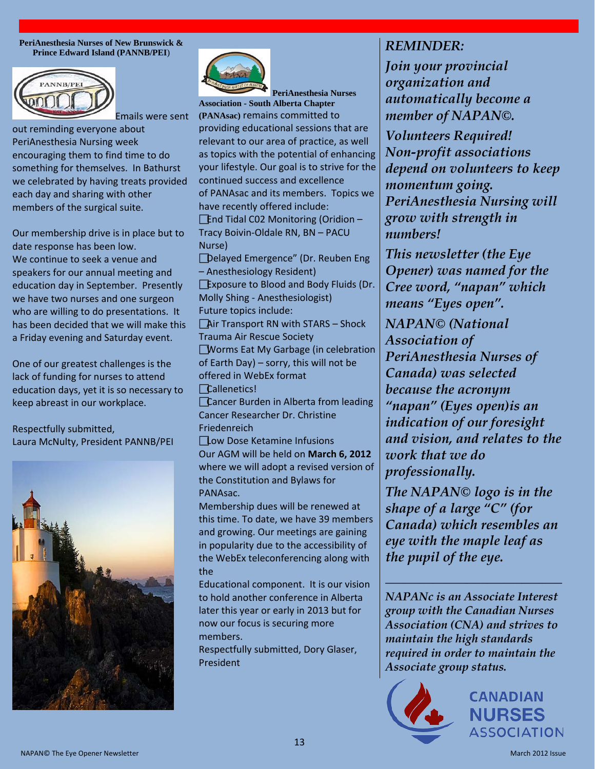**PeriAnesthesia Nurses of New Brunswick & Prince Edward Island (PANNB/PEI**)



out reminding everyone about PeriAnesthesia Nursing week encouraging them to find time to do something for themselves. In Bathurst we celebrated by having treats provided each day and sharing with other members of the surgical suite.

Our membership drive is in place but to date response has been low. We continue to seek a venue and speakers for our annual meeting and education day in September. Presently we have two nurses and one surgeon who are willing to do presentations. It has been decided that we will make this a Friday evening and Saturday event.

One of our greatest challenges is the lack of funding for nurses to attend education days, yet it is so necessary to keep abreast in our workplace.

Respectfully submitted, Laura McNulty, President PANNB/PEI





**PeriAnesthesia Nurses Association - South Alberta Chapter (PANAsac)** remains committed to providing educational sessions that are relevant to our area of practice, as well as topics with the potential of enhancing your lifestyle. Our goal is to strive for the continued success and excellence of PANAsac and its members. Topics we have recently offered include:  $\sqrt{\frac{1}{10}}$  Tidal C02 Monitoring (Oridion – Tracy Boivin-Oldale RN, BN – PACU Nurse) Delayed Emergence" (Dr. Reuben Eng – Anesthesiology Resident) Exposure to Blood and Body Fluids (Dr. Molly Shing - Anesthesiologist) Future topics include:  $\Box$ Air Transport RN with STARS – Shock Trauma Air Rescue Society **Worms Eat My Garbage (in celebration** of Earth Day) – sorry, this will not be offered in WebEx format Callenetics! **Cancer Burden in Alberta from leading** Cancer Researcher Dr. Christine Friedenreich Low Dose Ketamine Infusions Our AGM will be held on **March 6, 2012** where we will adopt a revised version of the Constitution and Bylaws for PANAsac. Membership dues will be renewed at this time. To date, we have 39 members and growing. Our meetings are gaining in popularity due to the accessibility of the WebEx teleconferencing along with

the

Educational component. It is our vision to hold another conference in Alberta later this year or early in 2013 but for now our focus is securing more members.

Respectfully submitted, Dory Glaser, President

# *REMINDER:*

*Join your provincial organization and automatically become a member of NAPAN©.*

*Volunteers Required! Non-profit associations depend on volunteers to keep momentum going. PeriAnesthesia Nursing will grow with strength in numbers!*

*This newsletter (the Eye Opener) was named for the Cree word, "napan" which means "Eyes open".*

*NAPAN© (National Association of PeriAnesthesia Nurses of Canada) was selected because the acronym "napan" (Eyes open)is an indication of our foresight and vision, and relates to the work that we do professionally.*

*The NAPAN© logo is in the shape of a large "C" (for Canada) which resembles an eye with the maple leaf as the pupil of the eye.*

*NAPANc is an Associate Interest group with the Canadian Nurses Association (CNA) and strives to maintain the high standards required in order to maintain the Associate group status.*

*\_\_\_\_\_\_\_\_\_\_\_\_\_\_\_\_\_\_\_\_\_\_\_\_\_\_*

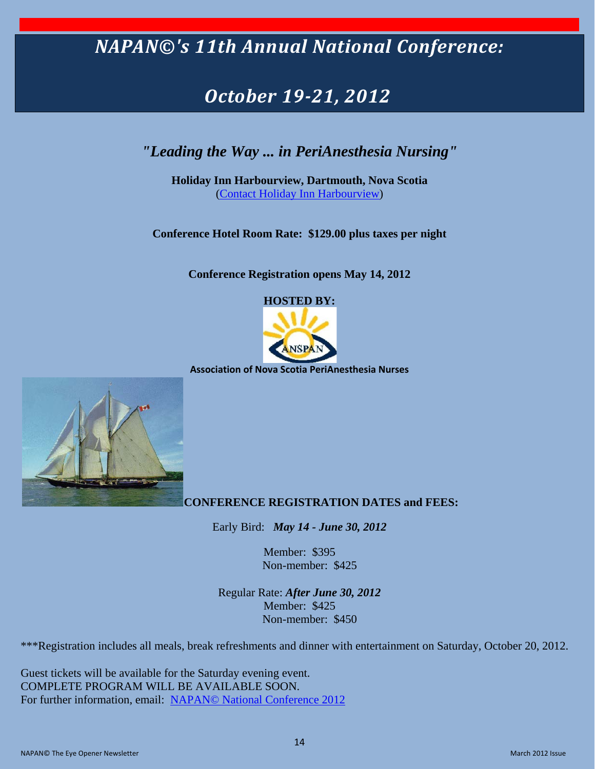# *NAPAN©'s 11th Annual National Conference:*

# *October 19-21, 2012*

# *"Leading the Way ... in PeriAnesthesia Nursing"*

**Holiday Inn Harbourview, Dartmouth, Nova Scotia** [\(Contact Holiday Inn Harbourview\)](http://www.hiharbourview.ca/halifax-hotels/holiday-inn-halifax/contact-us.php)

**Conference Hotel Room Rate: \$129.00 plus taxes per night**

**Conference Registration opens May 14, 2012**

**HOSTED BY:**



**Association of Nova Scotia PeriAnesthesia Nurses**



#### **CONFERENCE REGISTRATION DATES and FEES:**

Early Bird: *May 14 - June 30, 2012*

Member: \$395 Non-member: \$425

Regular Rate: *After June 30, 2012* Member: \$425 Non-member: \$450

\*\*\*Registration includes all meals, break refreshments and dinner with entertainment on Saturday, October 20, 2012.

Guest tickets will be available for the Saturday evening event. COMPLETE PROGRAM WILL BE AVAILABLE SOON. For further information, email: [NAPAN© National Conference 2012](mailto:mmp.landry@ns.sympatico.ca)